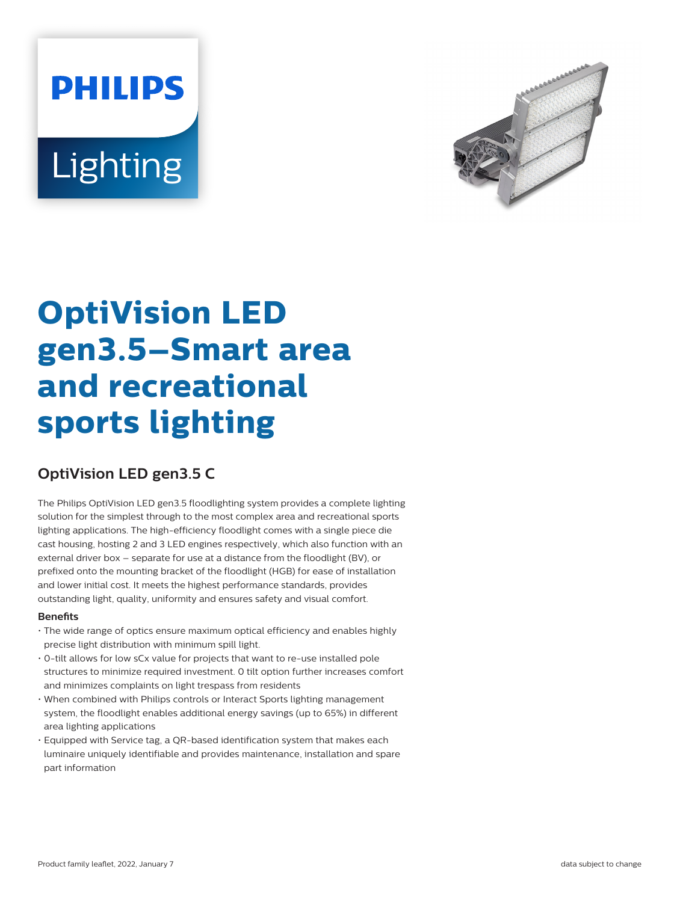# **PHILIPS** Lighting



# **OptiVision LED gen3.5–Smart area and recreational sports lighting**

# **OptiVision LED gen3.5 C**

The Philips OptiVision LED gen3.5 floodlighting system provides a complete lighting solution for the simplest through to the most complex area and recreational sports lighting applications. The high-efficiency floodlight comes with a single piece die cast housing, hosting 2 and 3 LED engines respectively, which also function with an external driver box – separate for use at a distance from the floodlight (BV), or prefixed onto the mounting bracket of the floodlight (HGB) for ease of installation and lower initial cost. It meets the highest performance standards, provides outstanding light, quality, uniformity and ensures safety and visual comfort.

#### **Benefits**

- The wide range of optics ensure maximum optical efficiency and enables highly precise light distribution with minimum spill light.
- 0-tilt allows for low sCx value for projects that want to re-use installed pole structures to minimize required investment. 0 tilt option further increases comfort and minimizes complaints on light trespass from residents
- When combined with Philips controls or Interact Sports lighting management system, the floodlight enables additional energy savings (up to 65%) in different area lighting applications
- Equipped with Service tag, a QR-based identification system that makes each luminaire uniquely identifiable and provides maintenance, installation and spare part information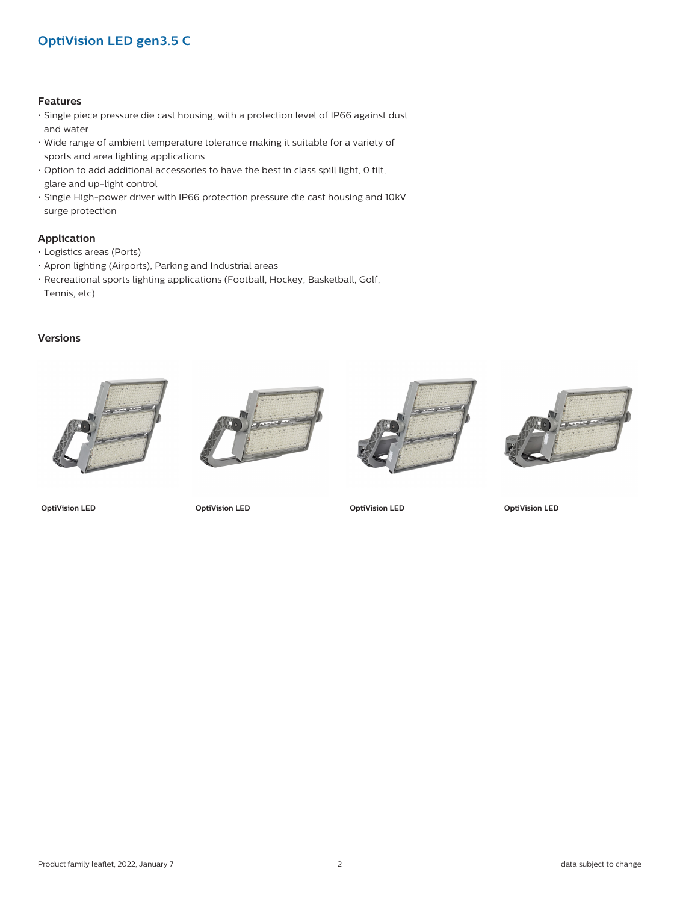## **OptiVision LED gen3.5 C**

#### **Features**

- Single piece pressure die cast housing, with a protection level of IP66 against dust and water
- Wide range of ambient temperature tolerance making it suitable for a variety of sports and area lighting applications
- Option to add additional accessories to have the best in class spill light, 0 tilt, glare and up-light control
- Single High-power driver with IP66 protection pressure die cast housing and 10kV surge protection

#### **Application**

- Logistics areas (Ports)
- Apron lighting (Airports), Parking and Industrial areas
- Recreational sports lighting applications (Football, Hockey, Basketball, Golf, Tennis, etc)

#### **Versions**









**OptiVision LED OptiVision LED OptiVision LED OptiVision LED**